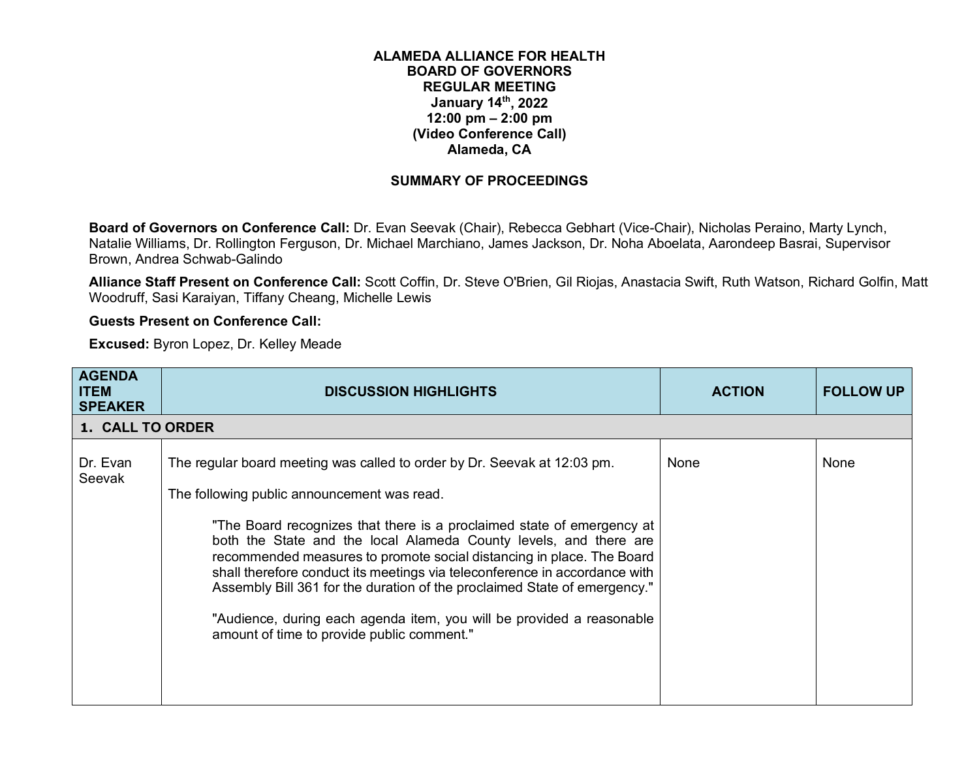## **ALAMEDA ALLIANCE FOR HEALTH BOARD OF GOVERNORS REGULAR MEETING January 14th, 2022 12:00 pm – 2:00 pm (Video Conference Call) Alameda, CA**

## **SUMMARY OF PROCEEDINGS**

**Board of Governors on Conference Call:** Dr. Evan Seevak (Chair), Rebecca Gebhart (Vice-Chair), Nicholas Peraino, Marty Lynch, Natalie Williams, Dr. Rollington Ferguson, Dr. Michael Marchiano, James Jackson, Dr. Noha Aboelata, Aarondeep Basrai, Supervisor Brown, Andrea Schwab-Galindo

**Alliance Staff Present on Conference Call:** Scott Coffin, Dr. Steve O'Brien, Gil Riojas, Anastacia Swift, Ruth Watson, Richard Golfin, Matt Woodruff, Sasi Karaiyan, Tiffany Cheang, Michelle Lewis

## **Guests Present on Conference Call:**

**Excused:** Byron Lopez, Dr. Kelley Meade

| <b>AGENDA</b><br><b>ITEM</b><br><b>SPEAKER</b> | <b>DISCUSSION HIGHLIGHTS</b>                                                                                                                                                                                                                                                                                                                                                                                                                                                                                                                                                                                                      | <b>ACTION</b> | <b>FOLLOW UP</b> |
|------------------------------------------------|-----------------------------------------------------------------------------------------------------------------------------------------------------------------------------------------------------------------------------------------------------------------------------------------------------------------------------------------------------------------------------------------------------------------------------------------------------------------------------------------------------------------------------------------------------------------------------------------------------------------------------------|---------------|------------------|
| 1. CALL TO ORDER                               |                                                                                                                                                                                                                                                                                                                                                                                                                                                                                                                                                                                                                                   |               |                  |
| Dr. Evan<br>Seevak                             | The regular board meeting was called to order by Dr. Seevak at 12:03 pm.<br>The following public announcement was read.<br>"The Board recognizes that there is a proclaimed state of emergency at<br>both the State and the local Alameda County levels, and there are<br>recommended measures to promote social distancing in place. The Board<br>shall therefore conduct its meetings via teleconference in accordance with<br>Assembly Bill 361 for the duration of the proclaimed State of emergency."<br>"Audience, during each agenda item, you will be provided a reasonable<br>amount of time to provide public comment." | None          | None             |
|                                                |                                                                                                                                                                                                                                                                                                                                                                                                                                                                                                                                                                                                                                   |               |                  |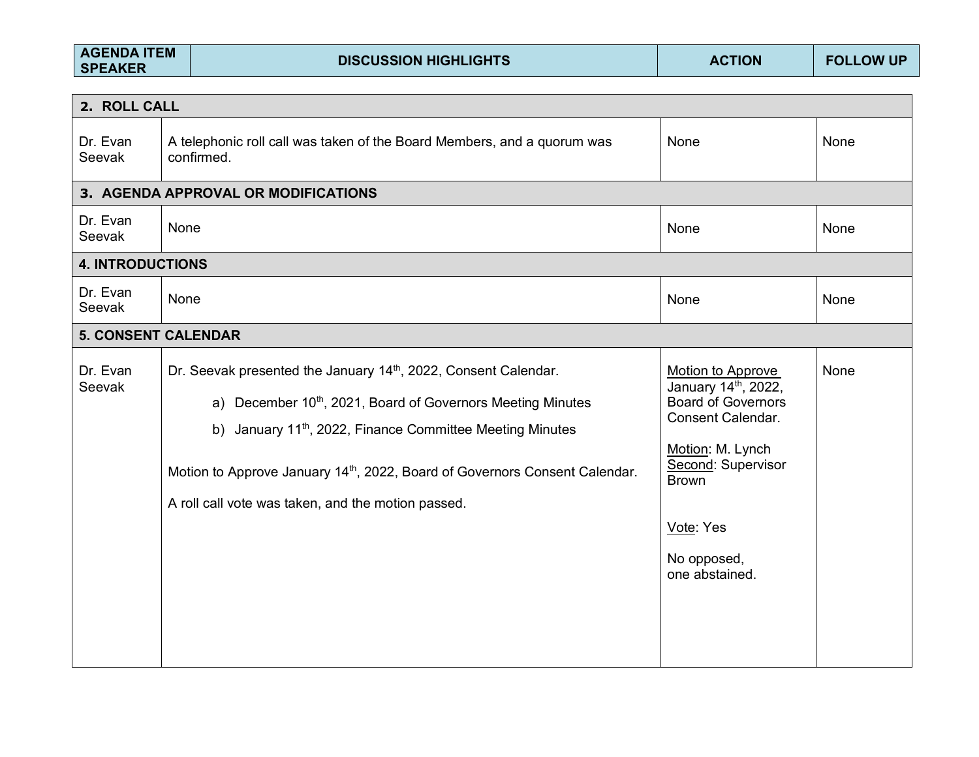| <b>AGENDA ITEM</b><br><b>SPEAKER</b> | <b>DISCUSSION HIGHLIGHTS</b>                                                                                                                                                                                                                                                                                                                                        | <b>ACTION</b>                                                                                                                                                                                      | <b>FOLLOW UP</b> |
|--------------------------------------|---------------------------------------------------------------------------------------------------------------------------------------------------------------------------------------------------------------------------------------------------------------------------------------------------------------------------------------------------------------------|----------------------------------------------------------------------------------------------------------------------------------------------------------------------------------------------------|------------------|
| 2. ROLL CALL                         |                                                                                                                                                                                                                                                                                                                                                                     |                                                                                                                                                                                                    |                  |
| Dr. Evan<br>Seevak                   | A telephonic roll call was taken of the Board Members, and a quorum was<br>confirmed.                                                                                                                                                                                                                                                                               | None                                                                                                                                                                                               | <b>None</b>      |
|                                      | 3. AGENDA APPROVAL OR MODIFICATIONS                                                                                                                                                                                                                                                                                                                                 |                                                                                                                                                                                                    |                  |
| Dr. Evan<br>Seevak                   | None                                                                                                                                                                                                                                                                                                                                                                | None                                                                                                                                                                                               | <b>None</b>      |
| <b>4. INTRODUCTIONS</b>              |                                                                                                                                                                                                                                                                                                                                                                     |                                                                                                                                                                                                    |                  |
| Dr. Evan<br>Seevak                   | None                                                                                                                                                                                                                                                                                                                                                                | None                                                                                                                                                                                               | None             |
| <b>5. CONSENT CALENDAR</b>           |                                                                                                                                                                                                                                                                                                                                                                     |                                                                                                                                                                                                    |                  |
| Dr. Evan<br>Seevak                   | Dr. Seevak presented the January 14th, 2022, Consent Calendar.<br>a) December 10 <sup>th</sup> , 2021, Board of Governors Meeting Minutes<br>b) January 11 <sup>th</sup> , 2022, Finance Committee Meeting Minutes<br>Motion to Approve January 14 <sup>th</sup> , 2022, Board of Governors Consent Calendar.<br>A roll call vote was taken, and the motion passed. | Motion to Approve<br>January 14th, 2022,<br><b>Board of Governors</b><br>Consent Calendar.<br>Motion: M. Lynch<br>Second: Supervisor<br><b>Brown</b><br>Vote: Yes<br>No opposed,<br>one abstained. | None             |

- 1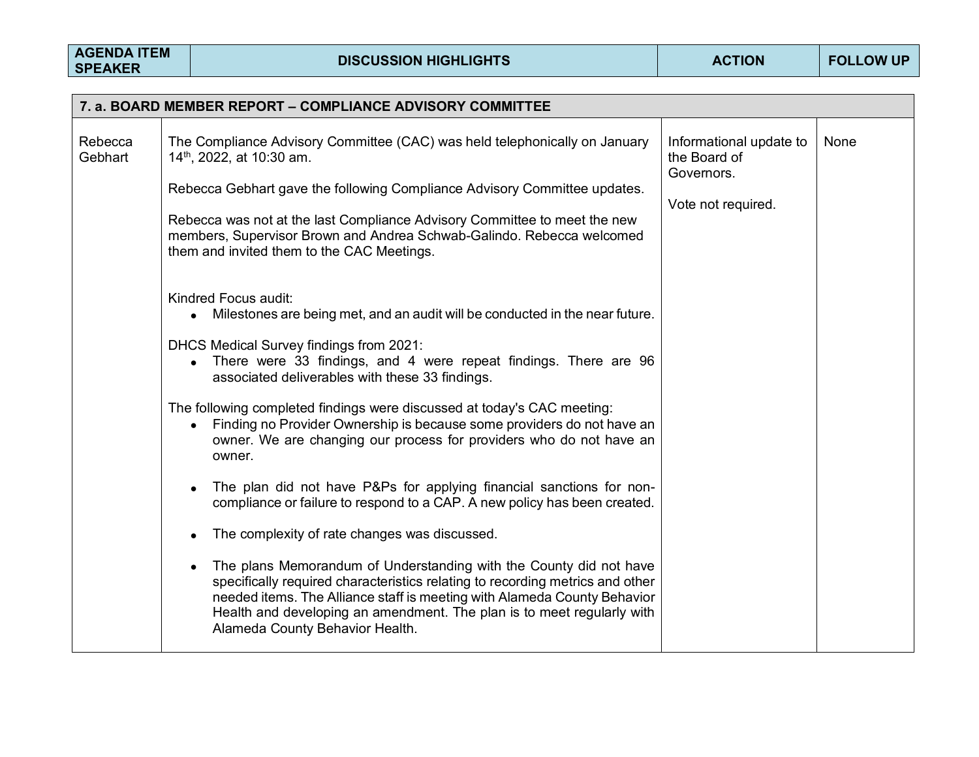|         | 7. a. BOARD MEMBER REPORT – COMPLIANCE ADVISORY COMMITTEE                                                                                                                                                                                                                                                                                                 |                         |      |  |  |  |
|---------|-----------------------------------------------------------------------------------------------------------------------------------------------------------------------------------------------------------------------------------------------------------------------------------------------------------------------------------------------------------|-------------------------|------|--|--|--|
| Rebecca | The Compliance Advisory Committee (CAC) was held telephonically on January                                                                                                                                                                                                                                                                                | Informational update to | None |  |  |  |
| Gebhart | 14 <sup>th</sup> , 2022, at 10:30 am.                                                                                                                                                                                                                                                                                                                     | the Board of            |      |  |  |  |
|         | Rebecca Gebhart gave the following Compliance Advisory Committee updates.                                                                                                                                                                                                                                                                                 | Governors.              |      |  |  |  |
|         | Rebecca was not at the last Compliance Advisory Committee to meet the new<br>members, Supervisor Brown and Andrea Schwab-Galindo. Rebecca welcomed<br>them and invited them to the CAC Meetings.                                                                                                                                                          | Vote not required.      |      |  |  |  |
|         | Kindred Focus audit:<br>Milestones are being met, and an audit will be conducted in the near future.                                                                                                                                                                                                                                                      |                         |      |  |  |  |
|         | DHCS Medical Survey findings from 2021:<br>There were 33 findings, and 4 were repeat findings. There are 96<br>associated deliverables with these 33 findings.                                                                                                                                                                                            |                         |      |  |  |  |
|         | The following completed findings were discussed at today's CAC meeting:<br>Finding no Provider Ownership is because some providers do not have an<br>$\bullet$<br>owner. We are changing our process for providers who do not have an<br>owner.                                                                                                           |                         |      |  |  |  |
|         | The plan did not have P&Ps for applying financial sanctions for non-<br>$\bullet$<br>compliance or failure to respond to a CAP. A new policy has been created.                                                                                                                                                                                            |                         |      |  |  |  |
|         | The complexity of rate changes was discussed.                                                                                                                                                                                                                                                                                                             |                         |      |  |  |  |
|         | The plans Memorandum of Understanding with the County did not have<br>$\bullet$<br>specifically required characteristics relating to recording metrics and other<br>needed items. The Alliance staff is meeting with Alameda County Behavior<br>Health and developing an amendment. The plan is to meet regularly with<br>Alameda County Behavior Health. |                         |      |  |  |  |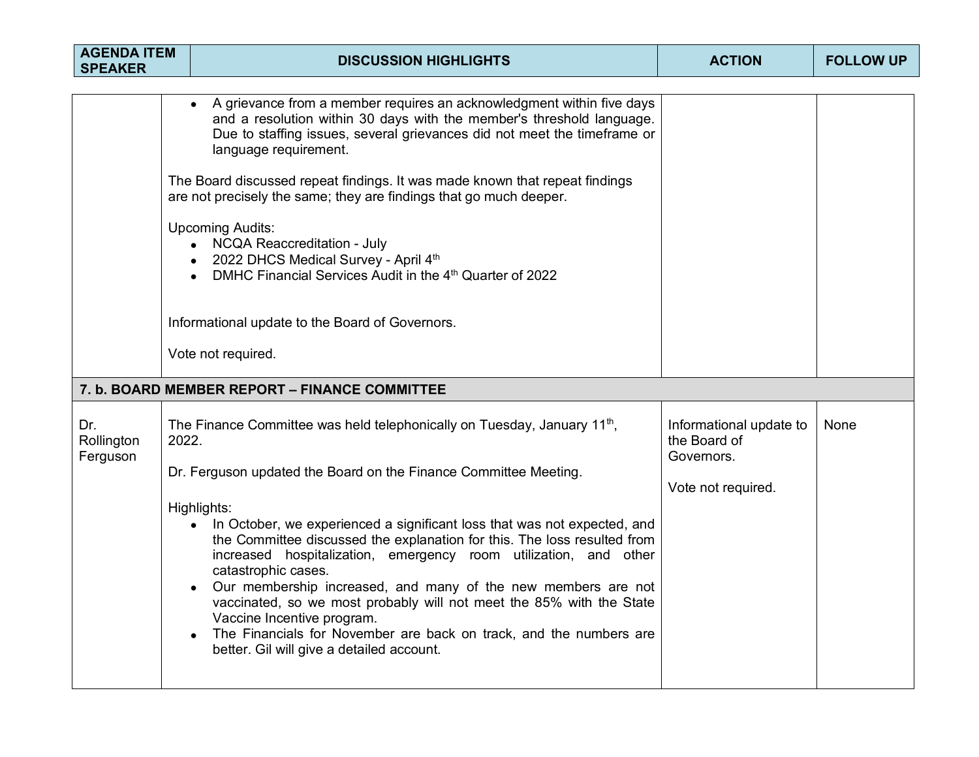| <b>AGENDA ITEM</b><br><b>SPEAKER</b> |       | <b>DISCUSSION HIGHLIGHTS</b>                                                                                                                                                                                                                                                                                                                                                                                                                                                                                                                                                                                                                                                                                                                   | <b>ACTION</b>                                                               | <b>FOLLOW UP</b> |
|--------------------------------------|-------|------------------------------------------------------------------------------------------------------------------------------------------------------------------------------------------------------------------------------------------------------------------------------------------------------------------------------------------------------------------------------------------------------------------------------------------------------------------------------------------------------------------------------------------------------------------------------------------------------------------------------------------------------------------------------------------------------------------------------------------------|-----------------------------------------------------------------------------|------------------|
|                                      |       | A grievance from a member requires an acknowledgment within five days<br>and a resolution within 30 days with the member's threshold language.<br>Due to staffing issues, several grievances did not meet the timeframe or<br>language requirement.<br>The Board discussed repeat findings. It was made known that repeat findings<br>are not precisely the same; they are findings that go much deeper.<br><b>Upcoming Audits:</b><br><b>NCQA Reaccreditation - July</b><br>$\bullet$<br>2022 DHCS Medical Survey - April 4th<br>DMHC Financial Services Audit in the 4 <sup>th</sup> Quarter of 2022<br>Informational update to the Board of Governors.<br>Vote not required.                                                                |                                                                             |                  |
|                                      |       | 7. b. BOARD MEMBER REPORT - FINANCE COMMITTEE                                                                                                                                                                                                                                                                                                                                                                                                                                                                                                                                                                                                                                                                                                  |                                                                             |                  |
| Dr.<br>Rollington<br>Ferguson        | 2022. | The Finance Committee was held telephonically on Tuesday, January 11 <sup>th</sup> ,<br>Dr. Ferguson updated the Board on the Finance Committee Meeting.<br>Highlights:<br>In October, we experienced a significant loss that was not expected, and<br>$\bullet$<br>the Committee discussed the explanation for this. The loss resulted from<br>increased hospitalization, emergency room utilization, and other<br>catastrophic cases.<br>Our membership increased, and many of the new members are not<br>vaccinated, so we most probably will not meet the 85% with the State<br>Vaccine Incentive program.<br>The Financials for November are back on track, and the numbers are<br>$\bullet$<br>better. Gil will give a detailed account. | Informational update to<br>the Board of<br>Governors.<br>Vote not required. | None             |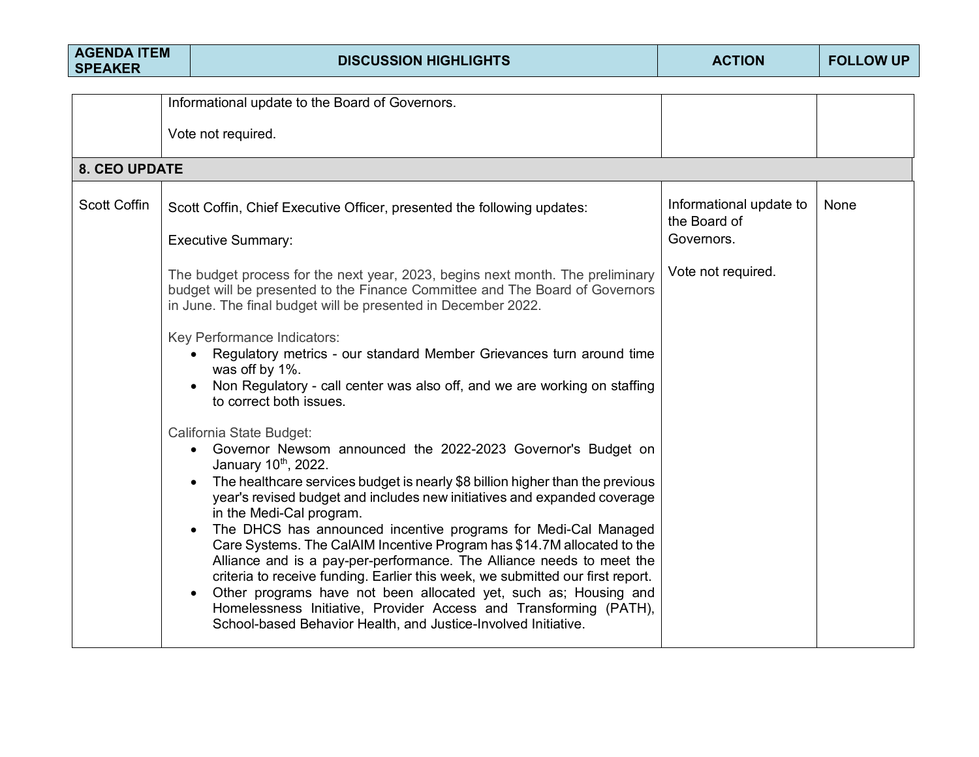| <b>AGENDA ITEM</b><br><b>SPEAKER</b> | <b>DISCUSSION HIGHLIGHTS</b>                                                                                                                                                                                                                                                                                                                                                                                                                                                                                                                                                                                                                                                                                                                                                                                                             | <b>ACTION</b>                           | <b>FOLLOW UP</b> |
|--------------------------------------|------------------------------------------------------------------------------------------------------------------------------------------------------------------------------------------------------------------------------------------------------------------------------------------------------------------------------------------------------------------------------------------------------------------------------------------------------------------------------------------------------------------------------------------------------------------------------------------------------------------------------------------------------------------------------------------------------------------------------------------------------------------------------------------------------------------------------------------|-----------------------------------------|------------------|
|                                      | Informational update to the Board of Governors.                                                                                                                                                                                                                                                                                                                                                                                                                                                                                                                                                                                                                                                                                                                                                                                          |                                         |                  |
|                                      | Vote not required.                                                                                                                                                                                                                                                                                                                                                                                                                                                                                                                                                                                                                                                                                                                                                                                                                       |                                         |                  |
| <b>8. CEO UPDATE</b>                 |                                                                                                                                                                                                                                                                                                                                                                                                                                                                                                                                                                                                                                                                                                                                                                                                                                          |                                         |                  |
| <b>Scott Coffin</b>                  | Scott Coffin, Chief Executive Officer, presented the following updates:                                                                                                                                                                                                                                                                                                                                                                                                                                                                                                                                                                                                                                                                                                                                                                  | Informational update to<br>the Board of | None             |
|                                      | <b>Executive Summary:</b>                                                                                                                                                                                                                                                                                                                                                                                                                                                                                                                                                                                                                                                                                                                                                                                                                | Governors.                              |                  |
|                                      | The budget process for the next year, 2023, begins next month. The preliminary<br>budget will be presented to the Finance Committee and The Board of Governors<br>in June. The final budget will be presented in December 2022.                                                                                                                                                                                                                                                                                                                                                                                                                                                                                                                                                                                                          | Vote not required.                      |                  |
|                                      | Key Performance Indicators:<br>Regulatory metrics - our standard Member Grievances turn around time<br>$\bullet$<br>was off by 1%.<br>Non Regulatory - call center was also off, and we are working on staffing<br>to correct both issues.                                                                                                                                                                                                                                                                                                                                                                                                                                                                                                                                                                                               |                                         |                  |
|                                      | California State Budget:<br>Governor Newsom announced the 2022-2023 Governor's Budget on<br>January 10 <sup>th</sup> , 2022.<br>The healthcare services budget is nearly \$8 billion higher than the previous<br>year's revised budget and includes new initiatives and expanded coverage<br>in the Medi-Cal program.<br>The DHCS has announced incentive programs for Medi-Cal Managed<br>Care Systems. The CalAIM Incentive Program has \$14.7M allocated to the<br>Alliance and is a pay-per-performance. The Alliance needs to meet the<br>criteria to receive funding. Earlier this week, we submitted our first report.<br>Other programs have not been allocated yet, such as; Housing and<br>Homelessness Initiative, Provider Access and Transforming (PATH),<br>School-based Behavior Health, and Justice-Involved Initiative. |                                         |                  |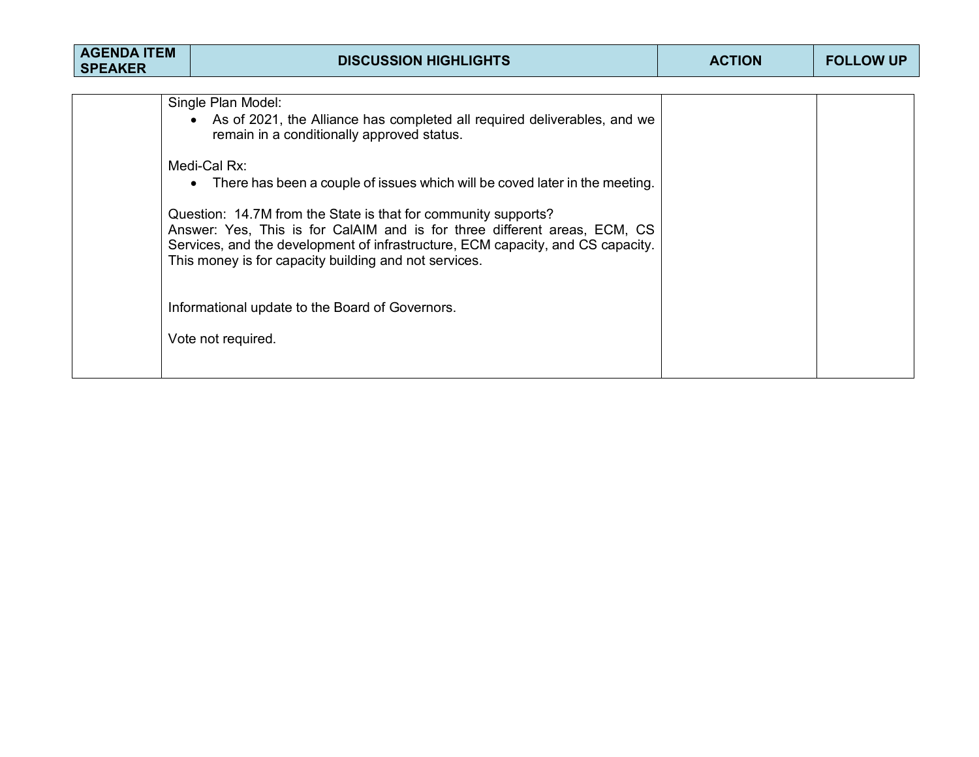| <b>AGENDA ITEM</b><br><b>SPEAKER</b> | <b>DISCUSSION HIGHLIGHTS</b>                                                                                                                                                                                                                                                                                                                                                                                                                                                                                                           | <b>ACTION</b> | <b>FOLLOW UP</b> |
|--------------------------------------|----------------------------------------------------------------------------------------------------------------------------------------------------------------------------------------------------------------------------------------------------------------------------------------------------------------------------------------------------------------------------------------------------------------------------------------------------------------------------------------------------------------------------------------|---------------|------------------|
|                                      | Single Plan Model:<br>As of 2021, the Alliance has completed all required deliverables, and we<br>remain in a conditionally approved status.<br>Medi-Cal Rx:<br>There has been a couple of issues which will be coved later in the meeting.<br>Question: 14.7M from the State is that for community supports?<br>Answer: Yes, This is for CalAIM and is for three different areas, ECM, CS<br>Services, and the development of infrastructure, ECM capacity, and CS capacity.<br>This money is for capacity building and not services. |               |                  |
|                                      | Informational update to the Board of Governors.<br>Vote not required.                                                                                                                                                                                                                                                                                                                                                                                                                                                                  |               |                  |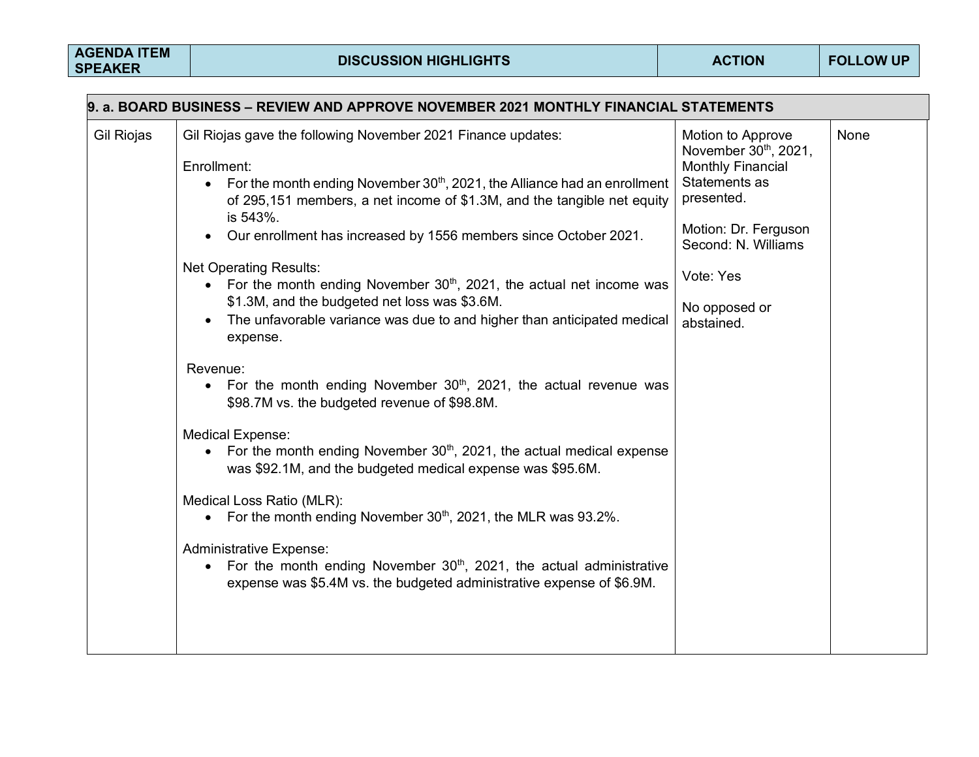| 9. a. BOARD BUSINESS – REVIEW AND APPROVE NOVEMBER 2021 MONTHLY FINANCIAL STATEMENTS                                                                                                                                                                                                                                                                                                                                                                                                                                                                                                                                                                                                                                                                                                                                                                                                                                                                                                                                                                                                                                                                                                                                 |                                                                                                                                                                                                                |  |  |  |  |
|----------------------------------------------------------------------------------------------------------------------------------------------------------------------------------------------------------------------------------------------------------------------------------------------------------------------------------------------------------------------------------------------------------------------------------------------------------------------------------------------------------------------------------------------------------------------------------------------------------------------------------------------------------------------------------------------------------------------------------------------------------------------------------------------------------------------------------------------------------------------------------------------------------------------------------------------------------------------------------------------------------------------------------------------------------------------------------------------------------------------------------------------------------------------------------------------------------------------|----------------------------------------------------------------------------------------------------------------------------------------------------------------------------------------------------------------|--|--|--|--|
| Gil Riojas gave the following November 2021 Finance updates:<br>Gil Riojas<br>Enrollment:<br>For the month ending November $30th$ , 2021, the Alliance had an enrollment<br>$\bullet$<br>of 295,151 members, a net income of \$1.3M, and the tangible net equity<br>is 543%.<br>Our enrollment has increased by 1556 members since October 2021.<br><b>Net Operating Results:</b><br>• For the month ending November $30th$ , 2021, the actual net income was<br>\$1.3M, and the budgeted net loss was \$3.6M.<br>The unfavorable variance was due to and higher than anticipated medical<br>expense.<br>Revenue:<br>• For the month ending November $30th$ , 2021, the actual revenue was<br>\$98.7M vs. the budgeted revenue of \$98.8M.<br><b>Medical Expense:</b><br>For the month ending November $30th$ , 2021, the actual medical expense<br>$\bullet$<br>was \$92.1M, and the budgeted medical expense was \$95.6M.<br>Medical Loss Ratio (MLR):<br>• For the month ending November $30th$ , 2021, the MLR was 93.2%.<br><b>Administrative Expense:</b><br>• For the month ending November $30th$ , 2021, the actual administrative<br>expense was \$5.4M vs. the budgeted administrative expense of \$6.9M. | <b>None</b><br>Motion to Approve<br>November 30th, 2021,<br><b>Monthly Financial</b><br>Statements as<br>presented.<br>Motion: Dr. Ferguson<br>Second: N. Williams<br>Vote: Yes<br>No opposed or<br>abstained. |  |  |  |  |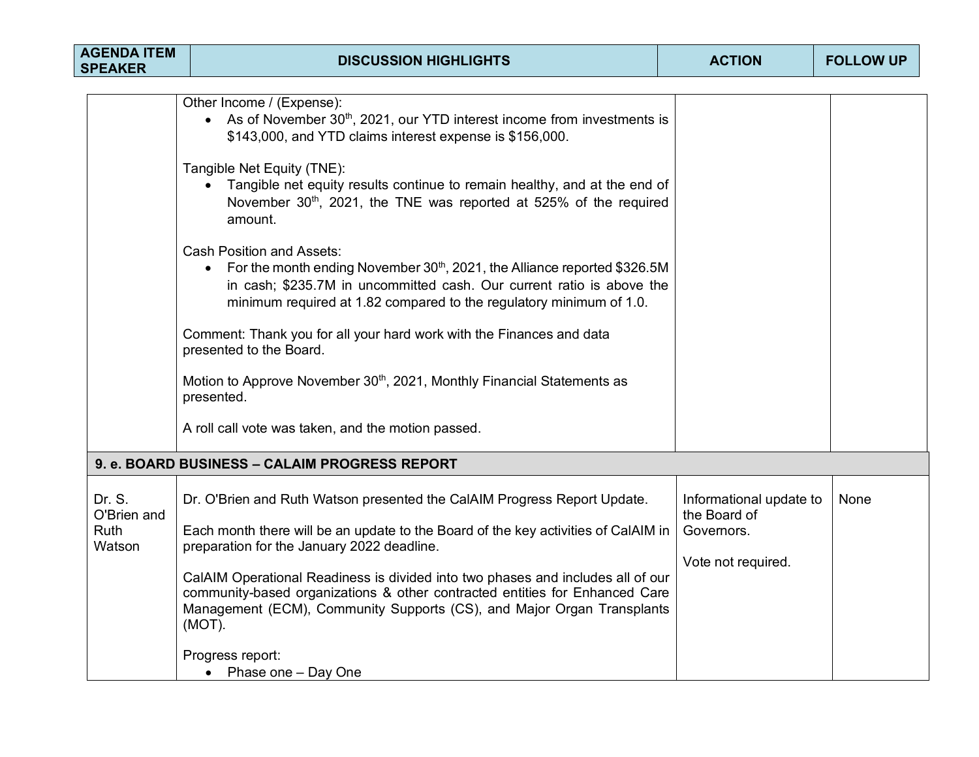| <b>AGENDA ITEM</b><br><b>SPEAKER</b> | <b>DISCUSSION HIGHLIGHTS</b>                                                                                                                                                                                                                                              | <b>ACTION</b>                           | <b>FOLLOW UP</b> |
|--------------------------------------|---------------------------------------------------------------------------------------------------------------------------------------------------------------------------------------------------------------------------------------------------------------------------|-----------------------------------------|------------------|
|                                      |                                                                                                                                                                                                                                                                           |                                         |                  |
|                                      | Other Income / (Expense):<br>• As of November $30th$ , 2021, our YTD interest income from investments is<br>\$143,000, and YTD claims interest expense is \$156,000.                                                                                                      |                                         |                  |
|                                      | Tangible Net Equity (TNE):<br>Tangible net equity results continue to remain healthy, and at the end of<br>November 30 <sup>th</sup> , 2021, the TNE was reported at 525% of the required<br>amount.                                                                      |                                         |                  |
|                                      | <b>Cash Position and Assets:</b><br>For the month ending November 30 <sup>th</sup> , 2021, the Alliance reported \$326.5M<br>in cash; \$235.7M in uncommitted cash. Our current ratio is above the<br>minimum required at 1.82 compared to the regulatory minimum of 1.0. |                                         |                  |
|                                      | Comment: Thank you for all your hard work with the Finances and data<br>presented to the Board.                                                                                                                                                                           |                                         |                  |
|                                      | Motion to Approve November 30 <sup>th</sup> , 2021, Monthly Financial Statements as<br>presented.                                                                                                                                                                         |                                         |                  |
|                                      | A roll call vote was taken, and the motion passed.                                                                                                                                                                                                                        |                                         |                  |
|                                      | 9. e. BOARD BUSINESS - CALAIM PROGRESS REPORT                                                                                                                                                                                                                             |                                         |                  |
| Dr. S.<br>O'Brien and                | Dr. O'Brien and Ruth Watson presented the CalAIM Progress Report Update.                                                                                                                                                                                                  | Informational update to<br>the Board of | None             |
| <b>Ruth</b><br>Watson                | Each month there will be an update to the Board of the key activities of CalAIM in<br>preparation for the January 2022 deadline.                                                                                                                                          | Governors.<br>Vote not required.        |                  |
|                                      | CalAIM Operational Readiness is divided into two phases and includes all of our<br>community-based organizations & other contracted entities for Enhanced Care<br>Management (ECM), Community Supports (CS), and Major Organ Transplants<br>(MOT).                        |                                         |                  |
|                                      | Progress report:<br>• Phase one - Day One                                                                                                                                                                                                                                 |                                         |                  |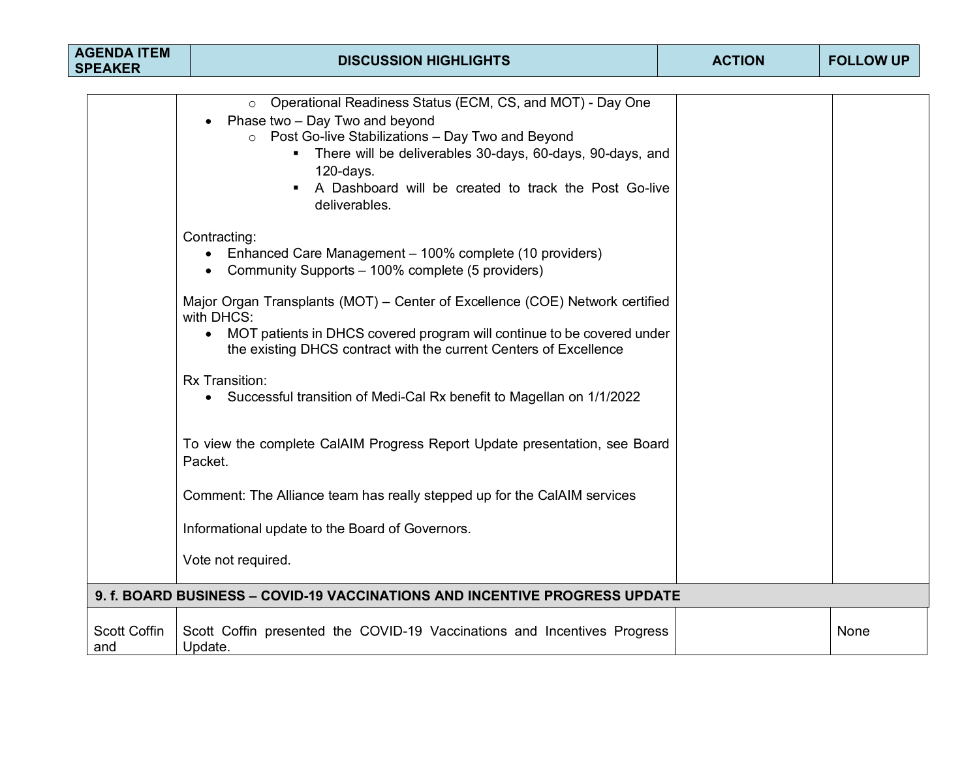| <b>AGENDA ITEM</b><br><b>SPEAKER</b> | <b>DISCUSSION HIGHLIGHTS</b>                                                                                                                                                                                                                                                                                     | <b>ACTION</b> | <b>FOLLOW UP</b> |
|--------------------------------------|------------------------------------------------------------------------------------------------------------------------------------------------------------------------------------------------------------------------------------------------------------------------------------------------------------------|---------------|------------------|
|                                      |                                                                                                                                                                                                                                                                                                                  |               |                  |
|                                      | o Operational Readiness Status (ECM, CS, and MOT) - Day One<br>Phase two - Day Two and beyond<br>$\circ$ Post Go-live Stabilizations - Day Two and Beyond<br>There will be deliverables 30-days, 60-days, 90-days, and<br>$120$ -days.<br>A Dashboard will be created to track the Post Go-live<br>deliverables. |               |                  |
|                                      | Contracting:<br>• Enhanced Care Management - 100% complete (10 providers)<br>Community Supports - 100% complete (5 providers)                                                                                                                                                                                    |               |                  |
|                                      | Major Organ Transplants (MOT) – Center of Excellence (COE) Network certified<br>with DHCS:<br>• MOT patients in DHCS covered program will continue to be covered under<br>the existing DHCS contract with the current Centers of Excellence                                                                      |               |                  |
|                                      | Rx Transition:<br>• Successful transition of Medi-Cal Rx benefit to Magellan on 1/1/2022                                                                                                                                                                                                                         |               |                  |
|                                      | To view the complete CalAIM Progress Report Update presentation, see Board<br>Packet.                                                                                                                                                                                                                            |               |                  |
|                                      | Comment: The Alliance team has really stepped up for the CalAIM services                                                                                                                                                                                                                                         |               |                  |
|                                      | Informational update to the Board of Governors.                                                                                                                                                                                                                                                                  |               |                  |
|                                      | Vote not required.                                                                                                                                                                                                                                                                                               |               |                  |
|                                      | 9. f. BOARD BUSINESS - COVID-19 VACCINATIONS AND INCENTIVE PROGRESS UPDATE                                                                                                                                                                                                                                       |               |                  |
| <b>Scott Coffin</b><br>and           | Scott Coffin presented the COVID-19 Vaccinations and Incentives Progress<br>Update.                                                                                                                                                                                                                              |               | None             |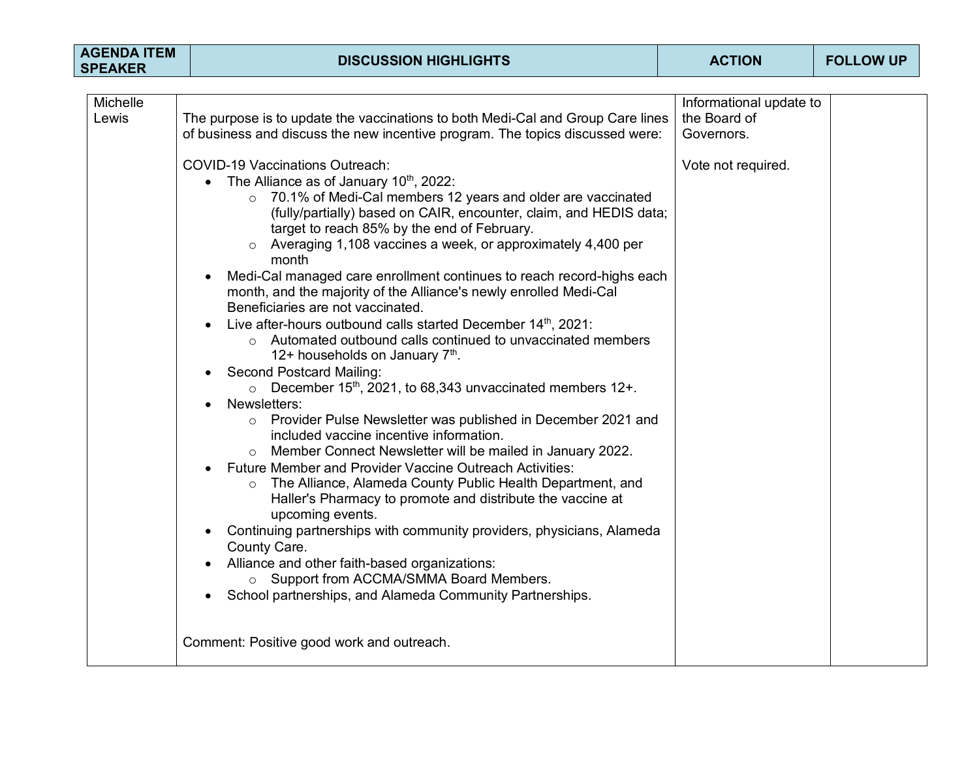| <b>AGENDA ITEM</b><br><b>SPEAKER</b> | <b>DISCUSSION HIGHLIGHTS</b>                                                                                                                                                                                                                                                                                                                                                                                                                                                                                                                                                                                                                                                                                                                                                                                                                                                                                                                                                                                                                                                                                                                                                                                                                                                                                                                                                                                                                                                                                                                                                    | <b>ACTION</b>                                         | <b>FOLLOW UP</b> |
|--------------------------------------|---------------------------------------------------------------------------------------------------------------------------------------------------------------------------------------------------------------------------------------------------------------------------------------------------------------------------------------------------------------------------------------------------------------------------------------------------------------------------------------------------------------------------------------------------------------------------------------------------------------------------------------------------------------------------------------------------------------------------------------------------------------------------------------------------------------------------------------------------------------------------------------------------------------------------------------------------------------------------------------------------------------------------------------------------------------------------------------------------------------------------------------------------------------------------------------------------------------------------------------------------------------------------------------------------------------------------------------------------------------------------------------------------------------------------------------------------------------------------------------------------------------------------------------------------------------------------------|-------------------------------------------------------|------------------|
|                                      |                                                                                                                                                                                                                                                                                                                                                                                                                                                                                                                                                                                                                                                                                                                                                                                                                                                                                                                                                                                                                                                                                                                                                                                                                                                                                                                                                                                                                                                                                                                                                                                 |                                                       |                  |
| Michelle<br>Lewis                    | The purpose is to update the vaccinations to both Medi-Cal and Group Care lines<br>of business and discuss the new incentive program. The topics discussed were:                                                                                                                                                                                                                                                                                                                                                                                                                                                                                                                                                                                                                                                                                                                                                                                                                                                                                                                                                                                                                                                                                                                                                                                                                                                                                                                                                                                                                | Informational update to<br>the Board of<br>Governors. |                  |
|                                      | <b>COVID-19 Vaccinations Outreach:</b><br>The Alliance as of January $10^{th}$ , 2022:<br>o 70.1% of Medi-Cal members 12 years and older are vaccinated<br>(fully/partially) based on CAIR, encounter, claim, and HEDIS data;<br>target to reach 85% by the end of February.<br>$\circ$ Averaging 1,108 vaccines a week, or approximately 4,400 per<br>month<br>Medi-Cal managed care enrollment continues to reach record-highs each<br>$\bullet$<br>month, and the majority of the Alliance's newly enrolled Medi-Cal<br>Beneficiaries are not vaccinated.<br>Live after-hours outbound calls started December 14th, 2021:<br>$\bullet$<br>o Automated outbound calls continued to unvaccinated members<br>12+ households on January $7th$ .<br><b>Second Postcard Mailing:</b><br>$\bullet$<br>$\circ$ December 15 <sup>th</sup> , 2021, to 68,343 unvaccinated members 12+.<br>Newsletters:<br>o Provider Pulse Newsletter was published in December 2021 and<br>included vaccine incentive information.<br>Member Connect Newsletter will be mailed in January 2022.<br>Future Member and Provider Vaccine Outreach Activities:<br>o The Alliance, Alameda County Public Health Department, and<br>Haller's Pharmacy to promote and distribute the vaccine at<br>upcoming events.<br>Continuing partnerships with community providers, physicians, Alameda<br>$\bullet$<br>County Care.<br>Alliance and other faith-based organizations:<br>$\bullet$<br>o Support from ACCMA/SMMA Board Members.<br>School partnerships, and Alameda Community Partnerships.<br>$\bullet$ | Vote not required.                                    |                  |
|                                      | Comment: Positive good work and outreach.                                                                                                                                                                                                                                                                                                                                                                                                                                                                                                                                                                                                                                                                                                                                                                                                                                                                                                                                                                                                                                                                                                                                                                                                                                                                                                                                                                                                                                                                                                                                       |                                                       |                  |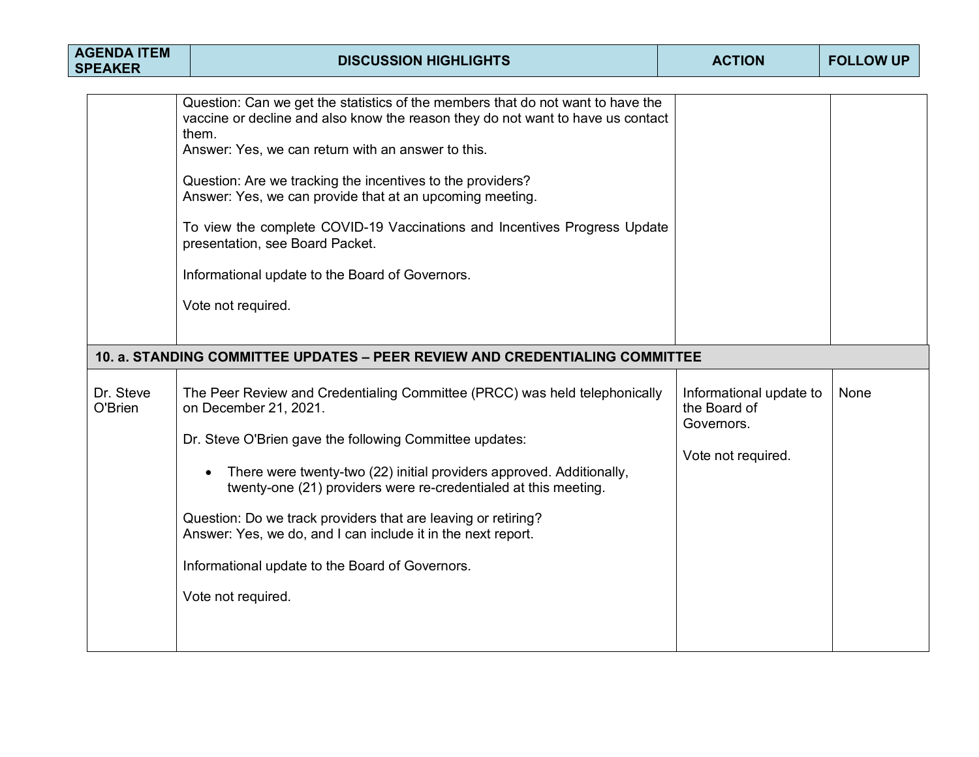| <b>AGENDA ITEM</b><br><b>SPEAKER</b> | <b>DISCUSSION HIGHLIGHTS</b>                                                                                                                                                                                                                                                                                                                                                                                                                                                                                                                         | <b>ACTION</b>                                                               | <b>FOLLOW UP</b> |
|--------------------------------------|------------------------------------------------------------------------------------------------------------------------------------------------------------------------------------------------------------------------------------------------------------------------------------------------------------------------------------------------------------------------------------------------------------------------------------------------------------------------------------------------------------------------------------------------------|-----------------------------------------------------------------------------|------------------|
|                                      | Question: Can we get the statistics of the members that do not want to have the<br>vaccine or decline and also know the reason they do not want to have us contact<br>them.<br>Answer: Yes, we can return with an answer to this.<br>Question: Are we tracking the incentives to the providers?<br>Answer: Yes, we can provide that at an upcoming meeting.<br>To view the complete COVID-19 Vaccinations and Incentives Progress Update<br>presentation, see Board Packet.<br>Informational update to the Board of Governors.<br>Vote not required. |                                                                             |                  |
|                                      | 10. a. STANDING COMMITTEE UPDATES - PEER REVIEW AND CREDENTIALING COMMITTEE                                                                                                                                                                                                                                                                                                                                                                                                                                                                          |                                                                             |                  |
| Dr. Steve<br>O'Brien                 | The Peer Review and Credentialing Committee (PRCC) was held telephonically<br>on December 21, 2021.<br>Dr. Steve O'Brien gave the following Committee updates:<br>There were twenty-two (22) initial providers approved. Additionally,<br>twenty-one (21) providers were re-credentialed at this meeting.<br>Question: Do we track providers that are leaving or retiring?<br>Answer: Yes, we do, and I can include it in the next report.<br>Informational update to the Board of Governors.<br>Vote not required.                                  | Informational update to<br>the Board of<br>Governors.<br>Vote not required. | None             |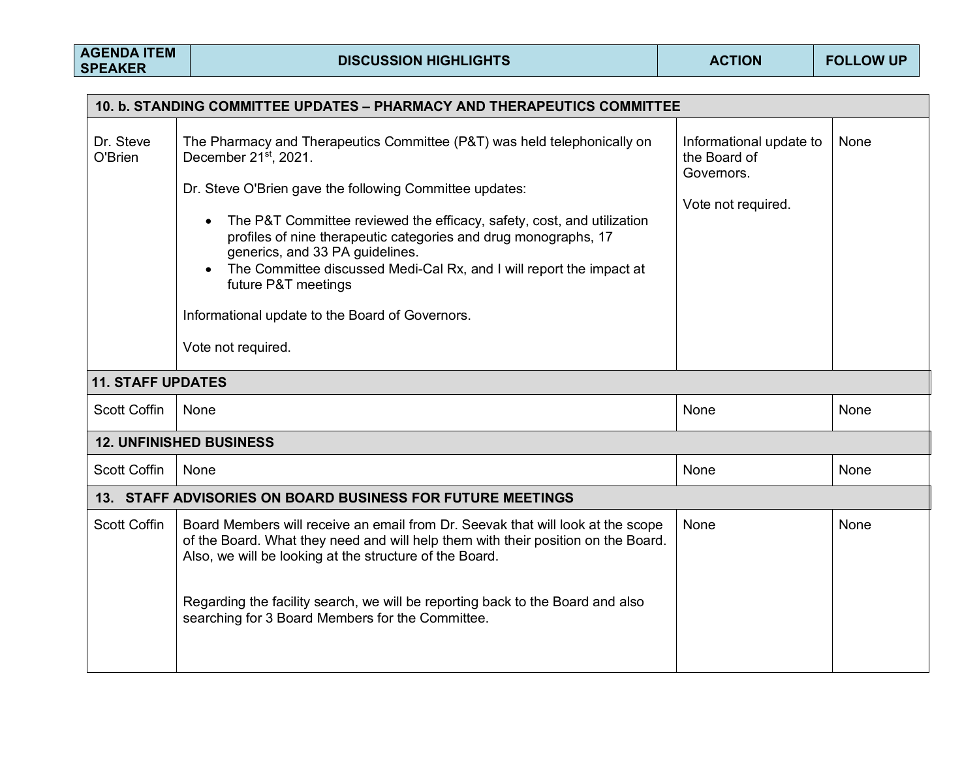| 10. b. STANDING COMMITTEE UPDATES - PHARMACY AND THERAPEUTICS COMMITTEE |                                                                                                                                                                                                                                                                                                                                                                                                                                                                                                                                               |                                                                             |      |  |  |  |
|-------------------------------------------------------------------------|-----------------------------------------------------------------------------------------------------------------------------------------------------------------------------------------------------------------------------------------------------------------------------------------------------------------------------------------------------------------------------------------------------------------------------------------------------------------------------------------------------------------------------------------------|-----------------------------------------------------------------------------|------|--|--|--|
| Dr. Steve<br>O'Brien                                                    | The Pharmacy and Therapeutics Committee (P&T) was held telephonically on<br>December 21 <sup>st</sup> , 2021.<br>Dr. Steve O'Brien gave the following Committee updates:<br>The P&T Committee reviewed the efficacy, safety, cost, and utilization<br>$\bullet$<br>profiles of nine therapeutic categories and drug monographs, 17<br>generics, and 33 PA guidelines.<br>The Committee discussed Medi-Cal Rx, and I will report the impact at<br>future P&T meetings<br>Informational update to the Board of Governors.<br>Vote not required. | Informational update to<br>the Board of<br>Governors.<br>Vote not required. | None |  |  |  |
| <b>11. STAFF UPDATES</b>                                                |                                                                                                                                                                                                                                                                                                                                                                                                                                                                                                                                               |                                                                             |      |  |  |  |
| <b>Scott Coffin</b>                                                     | None                                                                                                                                                                                                                                                                                                                                                                                                                                                                                                                                          | None                                                                        | None |  |  |  |
|                                                                         | <b>12. UNFINISHED BUSINESS</b>                                                                                                                                                                                                                                                                                                                                                                                                                                                                                                                |                                                                             |      |  |  |  |
| <b>Scott Coffin</b>                                                     | None                                                                                                                                                                                                                                                                                                                                                                                                                                                                                                                                          | None                                                                        | None |  |  |  |
|                                                                         | 13. STAFF ADVISORIES ON BOARD BUSINESS FOR FUTURE MEETINGS                                                                                                                                                                                                                                                                                                                                                                                                                                                                                    |                                                                             |      |  |  |  |
| <b>Scott Coffin</b>                                                     | Board Members will receive an email from Dr. Seevak that will look at the scope<br>of the Board. What they need and will help them with their position on the Board.<br>Also, we will be looking at the structure of the Board.<br>Regarding the facility search, we will be reporting back to the Board and also<br>searching for 3 Board Members for the Committee.                                                                                                                                                                         | None                                                                        | None |  |  |  |